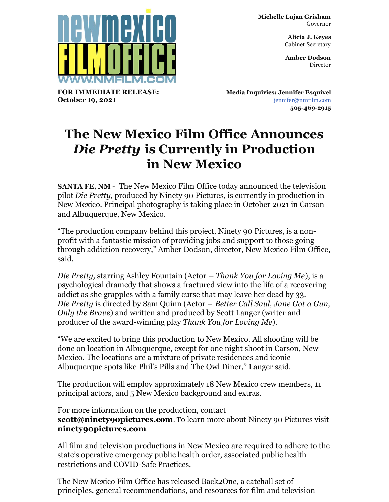**FOR IMMEDIATE RELEASE: October 19, 2021**

**Michelle Lujan Grisham** Governor

> **Alicia J. Keyes** Cabinet Secretary

> **Amber Dodson Director**

**Media Inquiries: Jennifer Esquivel** [jennifer@nmfilm.com](mailto:jennifer@nmfilm.com) **505-469-2915**

## **The New Mexico Film Office Announces** *Die Pretty* **is Currently in Production in New Mexico**

**SANTA FE, NM -** The New Mexico Film Office today announced the television pilot *Die Pretty,* produced by Ninety 90 Pictures, is currently in production in New Mexico. Principal photography is taking place in October 2021 in Carson and Albuquerque, New Mexico.

"The production company behind this project, Ninety 90 Pictures, is a nonprofit with a fantastic mission of providing jobs and support to those going through addiction recovery," Amber Dodson, director, New Mexico Film Office, said.

*Die Pretty,* starring Ashley Fountain (Actor *– Thank You for Loving Me*), is a psychological dramedy that shows a fractured view into the life of a recovering addict as she grapples with a family curse that may leave her dead by 33. *Die Pretty* is directed by Sam Quinn (Actor – *Better Call Saul, Jane Got a Gun, Only the Brave*) and written and produced by Scott Langer (writer and producer of the award-winning play *Thank You for Loving Me*).

"We are excited to bring this production to New Mexico. All shooting will be done on location in Albuquerque, except for one night shoot in Carson, New Mexico. The locations are a mixture of private residences and iconic Albuquerque spots like Phil's Pills and The Owl Diner," Langer said.

The production will employ approximately 18 New Mexico crew members, 11 principal actors, and 5 New Mexico background and extras.

For more information on the production, contact **[scott@ninety90pictures.com](mailto:scott@ninety90pictures.com)**. To learn more about Ninety 90 Pictures visit **[ninety90pictures.com](http://ninety90pictures.com)**.

All film and television productions in New Mexico are required to adhere to the state's operative emergency public health order, associated public health restrictions and COVID-Safe Practices.

The New Mexico Film Office has released Back2One, a catchall set of principles, general recommendations, and resources for film and television